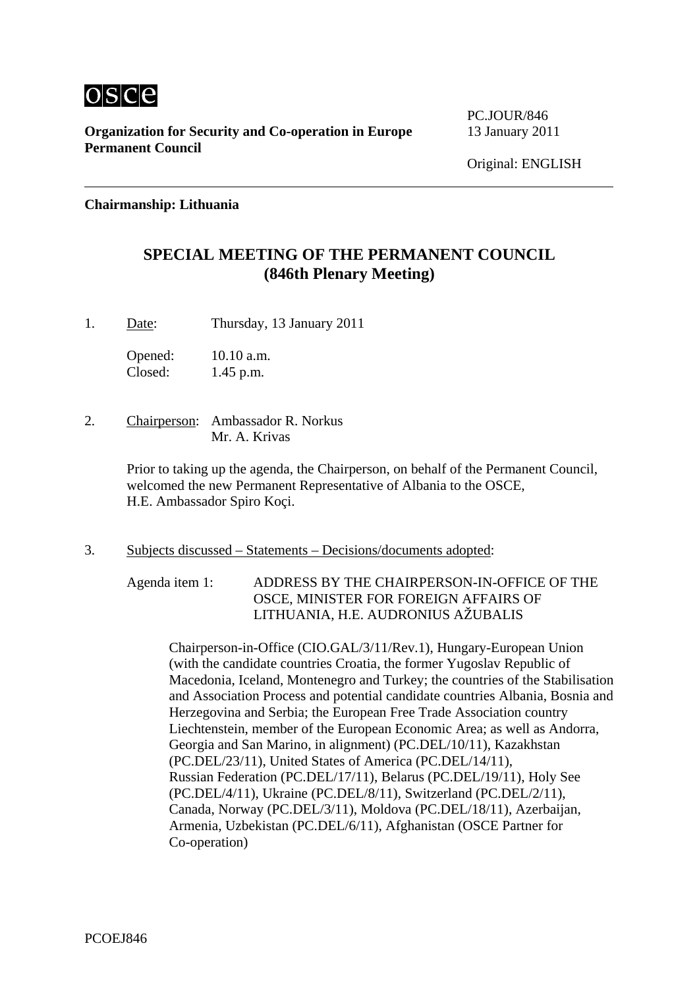

**Organization for Security and Co-operation in Europe** 13 January 2011 **Permanent Council** 

PC.JOUR/846

## **Chairmanship: Lithuania**

## **SPECIAL MEETING OF THE PERMANENT COUNCIL (846th Plenary Meeting)**

1. Date: Thursday, 13 January 2011

Opened: 10.10 a.m. Closed: 1.45 p.m.

2. Chairperson: Ambassador R. Norkus Mr. A. Krivas

> Prior to taking up the agenda, the Chairperson, on behalf of the Permanent Council, welcomed the new Permanent Representative of Albania to the OSCE, H.E. Ambassador Spiro Koçi.

3. Subjects discussed – Statements – Decisions/documents adopted:

Agenda item 1: ADDRESS BY THE CHAIRPERSON-IN-OFFICE OF THE OSCE, MINISTER FOR FOREIGN AFFAIRS OF LITHUANIA, H.E. AUDRONIUS AŽUBALIS

Chairperson-in-Office (CIO.GAL/3/11/Rev.1), Hungary-European Union (with the candidate countries Croatia, the former Yugoslav Republic of Macedonia, Iceland, Montenegro and Turkey; the countries of the Stabilisation and Association Process and potential candidate countries Albania, Bosnia and Herzegovina and Serbia; the European Free Trade Association country Liechtenstein, member of the European Economic Area; as well as Andorra, Georgia and San Marino, in alignment) (PC.DEL/10/11), Kazakhstan (PC.DEL/23/11), United States of America (PC.DEL/14/11), Russian Federation (PC.DEL/17/11), Belarus (PC.DEL/19/11), Holy See (PC.DEL/4/11), Ukraine (PC.DEL/8/11), Switzerland (PC.DEL/2/11), Canada, Norway (PC.DEL/3/11), Moldova (PC.DEL/18/11), Azerbaijan, Armenia, Uzbekistan (PC.DEL/6/11), Afghanistan (OSCE Partner for Co-operation)